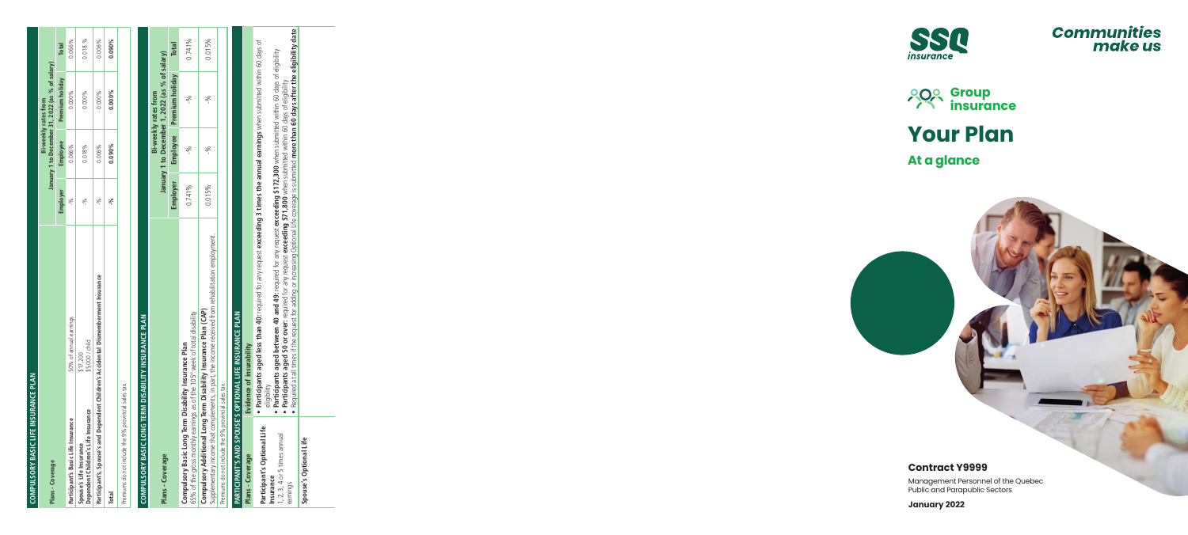





# **Your Plan**

# **At a glance**

# **Contract Y9999**

Management Personnel of the Quebec Public and Parapublic Sectors

**January 2022**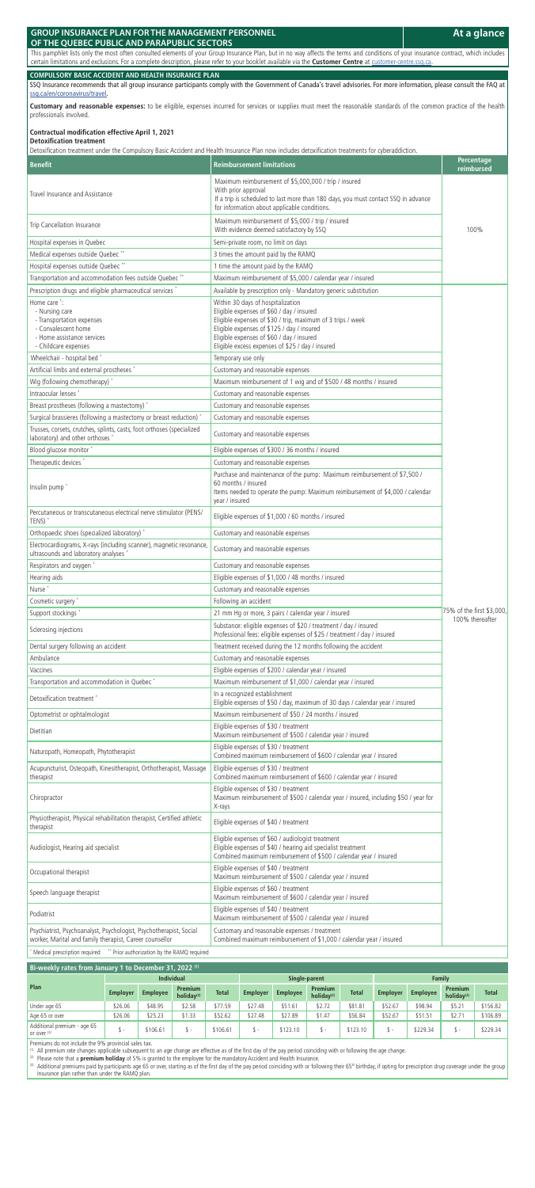# **GROUP INSURANCE PLAN FOR THE MANAGEMENT PERSONNEL**

#### **OF THE QUEBEC PUBLIC AND PARAPUBLIC SECTORS**

This pamphlet lists only the most often consulted elements of your Group Insurance Plan, but in no way affects the terms and conditions of your insurance contract, which includes certain limitations and exclusions. For a complete description, please refer to your booklet available via the **Customer Centre** at customer-centre.ssq.ca.

Customary and reasonable expenses: to be eligible, expenses incurred for services or supplies must meet the reasonable standards of the common practice of the health professionals involved.

#### **COMPULSORY BASIC ACCIDENT AND HEALTH INSURANCE PLAN**

SSQ Insurance recommends that all group insurance participants comply with the Government of Canada's travel advisories. For more information, please consult the FAQ at ssq.ca/en/coronavirus/travel.

## **Contractual modification effective April 1, 2021**

#### **Detoxification treatment**

Detoxification treatment under the Compulsory Basic Accident and Health Insurance Plan now includes detoxification treatments for cyberaddiction.

| <b>Benefit</b>                                                                                                                                                                                        | Reimbursement limitations                                                                                                                                                                                                                                                                                                                                       | Percentage<br>reimbursed                     |
|-------------------------------------------------------------------------------------------------------------------------------------------------------------------------------------------------------|-----------------------------------------------------------------------------------------------------------------------------------------------------------------------------------------------------------------------------------------------------------------------------------------------------------------------------------------------------------------|----------------------------------------------|
| Travel Insurance and Assistance                                                                                                                                                                       | Maximum reimbursement of \$5,000,000 / trip / insured<br>With prior approval<br>If a trip is scheduled to last more than 180 days, you must contact SSQ in advance<br>for information about applicable conditions.                                                                                                                                              |                                              |
| Trip Cancellation Insurance                                                                                                                                                                           | Maximum reimbursement of \$5,000 / trip / insured<br>With evidence deemed satisfactory by SSQ                                                                                                                                                                                                                                                                   | 100%                                         |
| Hospital expenses in Quebec                                                                                                                                                                           | Semi-private room, no limit on days                                                                                                                                                                                                                                                                                                                             |                                              |
| Medical expenses outside Quebec **                                                                                                                                                                    | 3 times the amount paid by the RAMQ                                                                                                                                                                                                                                                                                                                             |                                              |
| Hospital expenses outside Quebec **                                                                                                                                                                   | 1 time the amount paid by the RAMQ                                                                                                                                                                                                                                                                                                                              |                                              |
| Transportation and accommodation fees outside Quebec **                                                                                                                                               | Maximum reimbursement of \$5,000 / calendar year / insured                                                                                                                                                                                                                                                                                                      |                                              |
| Prescription drugs and eligible pharmaceutical services *<br>Home care *:<br>- Nursing care<br>- Transportation expenses<br>- Convalescent home<br>- Home assistance services<br>- Childcare expenses | Available by prescription only - Mandatory generic substitution<br>Within 30 days of hospitalization<br>Eligible expenses of \$60 / day / insured<br>Eligible expenses of \$30 / trip, maximum of 3 trips / week<br>Eligible expenses of \$125 / day / insured<br>Eligible expenses of \$60 / day / insured<br>Eligible excess expenses of \$25 / day / insured |                                              |
| Wheelchair - hospital bed                                                                                                                                                                             | Temporary use only                                                                                                                                                                                                                                                                                                                                              |                                              |
| Artificial limbs and external prostheses *                                                                                                                                                            | Customary and reasonable expenses                                                                                                                                                                                                                                                                                                                               |                                              |
| Wig (following chemotherapy) *                                                                                                                                                                        | Maximum reimbursement of 1 wig and of \$500 / 48 months / insured                                                                                                                                                                                                                                                                                               |                                              |
| Intraocular lenses *                                                                                                                                                                                  | Customary and reasonable expenses                                                                                                                                                                                                                                                                                                                               |                                              |
| Breast prostheses (following a mastectomy) *                                                                                                                                                          | Customary and reasonable expenses                                                                                                                                                                                                                                                                                                                               |                                              |
| Surgical brassieres (following a mastectomy or breast reduction)                                                                                                                                      | Customary and reasonable expenses                                                                                                                                                                                                                                                                                                                               |                                              |
| Trusses, corsets, crutches, splints, casts, foot orthoses (specialized<br>laboratory) and other orthoses                                                                                              | Customary and reasonable expenses                                                                                                                                                                                                                                                                                                                               |                                              |
| Blood glucose monitor'                                                                                                                                                                                | Eligible expenses of \$300 / 36 months / insured                                                                                                                                                                                                                                                                                                                |                                              |
| Therapeutic devices *<br>Insulin pump <sup>*</sup>                                                                                                                                                    | Customary and reasonable expenses<br>Purchase and maintenance of the pump: Maximum reimbursement of \$7,500 /<br>60 months / insured<br>Items needed to operate the pump: Maximum reimbursement of \$4,000 / calendar<br>year / insured                                                                                                                         |                                              |
| Percutaneous or transcutaneous electrical nerve stimulator (PENS/<br>TENS) <sup>'</sup>                                                                                                               | Eligible expenses of \$1,000 / 60 months / insured                                                                                                                                                                                                                                                                                                              |                                              |
| Orthopaedic shoes (specialized laboratory) *                                                                                                                                                          | Customary and reasonable expenses                                                                                                                                                                                                                                                                                                                               |                                              |
| Electrocardiograms, X-rays (including scanner), magnetic resonance,<br>ultrasounds and laboratory analyses                                                                                            | Customary and reasonable expenses                                                                                                                                                                                                                                                                                                                               |                                              |
| Respirators and oxygen                                                                                                                                                                                | Customary and reasonable expenses                                                                                                                                                                                                                                                                                                                               |                                              |
| Hearing aids                                                                                                                                                                                          | Eligible expenses of \$1,000 / 48 months / insured                                                                                                                                                                                                                                                                                                              |                                              |
| Nurse <sup>*</sup>                                                                                                                                                                                    | Customary and reasonable expenses                                                                                                                                                                                                                                                                                                                               |                                              |
| Cosmetic surgery'                                                                                                                                                                                     | Following an accident                                                                                                                                                                                                                                                                                                                                           |                                              |
| Support stockings *                                                                                                                                                                                   | 21 mm Hg or more, 3 pairs / calendar year / insured                                                                                                                                                                                                                                                                                                             | 75% of the first \$3,000.<br>100% thereafter |
| Sclerosing injections                                                                                                                                                                                 | Substance: eligible expenses of \$20 / treatment / day / insured<br>Professional fees: eligible expenses of \$25 / treatment / day / insured                                                                                                                                                                                                                    |                                              |
| Dental surgery following an accident                                                                                                                                                                  | Treatment received during the 12 months following the accident                                                                                                                                                                                                                                                                                                  |                                              |
| Ambulance                                                                                                                                                                                             | Customary and reasonable expenses                                                                                                                                                                                                                                                                                                                               |                                              |
| Vaccines                                                                                                                                                                                              | Eligible expenses of \$200 / calendar year / insured                                                                                                                                                                                                                                                                                                            |                                              |
| Transportation and accommodation in Quebec *                                                                                                                                                          | Maximum reimbursement of \$1,000 / calendar year / insured                                                                                                                                                                                                                                                                                                      |                                              |
| Detoxification treatment                                                                                                                                                                              | In a recognized establishment<br>Eligible expenses of \$50 / day, maximum of 30 days / calendar year / insured                                                                                                                                                                                                                                                  |                                              |
| Optometrist or ophtalmologist                                                                                                                                                                         | Maximum reimbursement of \$50 / 24 months / insured                                                                                                                                                                                                                                                                                                             |                                              |
| Dietitian                                                                                                                                                                                             | Eligible expenses of \$30 / treatment<br>Maximum reimbursement of \$500 / calendar year / insured                                                                                                                                                                                                                                                               |                                              |
| Naturopath, Homeopath, Phytotherapist                                                                                                                                                                 | Eligible expenses of \$30 / treatment<br>Combined maximum reimbursement of \$600 / calendar year / insured                                                                                                                                                                                                                                                      |                                              |
| Acupuncturist, Osteopath, Kinesitherapist, Orthotherapist, Massage<br>therapist                                                                                                                       | Eligible expenses of \$30 / treatment<br>Combined maximum reimbursement of \$600 / calendar year / insured                                                                                                                                                                                                                                                      |                                              |
| Chiropractor                                                                                                                                                                                          | Eligible expenses of \$30 / treatment<br>Maximum reimbursement of \$500 / calendar year / insured, including \$50 / year for<br>X-rays                                                                                                                                                                                                                          |                                              |
| Physiotherapist, Physical rehabilitation therapist, Certified athletic<br>therapist                                                                                                                   | Eligible expenses of \$40 / treatment                                                                                                                                                                                                                                                                                                                           |                                              |
| Audiologist, Hearing aid specialist                                                                                                                                                                   | Eligible expenses of \$60 / audiologist treatment<br>Eligible expenses of \$40 / hearing aid specialist treatment<br>Combined maximum reimbursement of \$500 / calendar year / insured                                                                                                                                                                          |                                              |
| Occupational therapist                                                                                                                                                                                | Eligible expenses of \$40 / treatment<br>Maximum reimbursement of \$500 / calendar year / insured                                                                                                                                                                                                                                                               |                                              |
| Speech language therapist                                                                                                                                                                             | Eligible expenses of \$60 / treatment<br>Maximum reimbursement of \$600 / calendar year / insured                                                                                                                                                                                                                                                               |                                              |
| Podiatrist                                                                                                                                                                                            | Eligible expenses of \$40 / treatment<br>Maximum reimbursement of \$500 / calendar year / insured                                                                                                                                                                                                                                                               |                                              |
| Psychiatrist, Psychoanalyst, Psychologist, Psychotherapist, Social<br>worker, Marital and family therapist, Career counsellor                                                                         | Customary and reasonable expenses / treatment<br>Combined maximum reimbursement of \$1,000 / calendar year / insured                                                                                                                                                                                                                                            |                                              |

(3) Additional premiums paid by participants age 65 or over, starting as of the first day of the pay period coinciding with or following their 65<sup>th</sup> birthday, if opting for prescription drug coverage under the group insurance plan rather than under the RAMQ plan.

\* Medical prescription required \*\* Prior authorization by the RAMQ required

### **Bi-weekly rates from January 1 to December 31, 2022 (1)**

|                                            | <b>Individual</b> |                 |                                 | Single-parent |                 |                 | <b>Family</b>                   |              |                 |                 |                                 |              |
|--------------------------------------------|-------------------|-----------------|---------------------------------|---------------|-----------------|-----------------|---------------------------------|--------------|-----------------|-----------------|---------------------------------|--------------|
| Plan                                       | <b>Employer</b>   | <b>Employee</b> | <b>Premium</b><br>holiday $(2)$ | <b>Total</b>  | <b>Employer</b> | <b>Employee</b> | <b>Premium</b><br>holiday $(2)$ | <b>Total</b> | <b>Employer</b> | <b>Employee</b> | <b>Premium</b><br>holiday $(2)$ | <b>Total</b> |
| Under age 65                               | \$26.06           | \$48.95         | \$2.58                          | \$77.59       | \$27.48         | \$51.61         | \$2.72                          | \$81.81      | \$52.67         | \$98.94         | \$5.21                          | \$156.82     |
| Age 65 or over                             | \$26.06           | \$25.23         | \$1.33                          | \$52.62       | \$27.48         | \$27.89         | \$1.47                          | \$56.84      | \$52.67         | \$51.51         | \$2.71                          | \$106.89     |
| Additional premium - age 65<br>or over (3) |                   | \$106.61        |                                 | \$106.61      |                 | \$123.10        |                                 | \$123.10     |                 | \$229.34        |                                 | \$229.34     |

Premiums do not include the 9% provincial sales tax.

 $(1)$  All premium rate changes applicable subsequent to an age change are effective as of the first day of the pay period coinciding with or following the age change.

(2) Please note that a **premium holiday** of 5% is granted to the employee for the mandatory Accident and Health Insurance.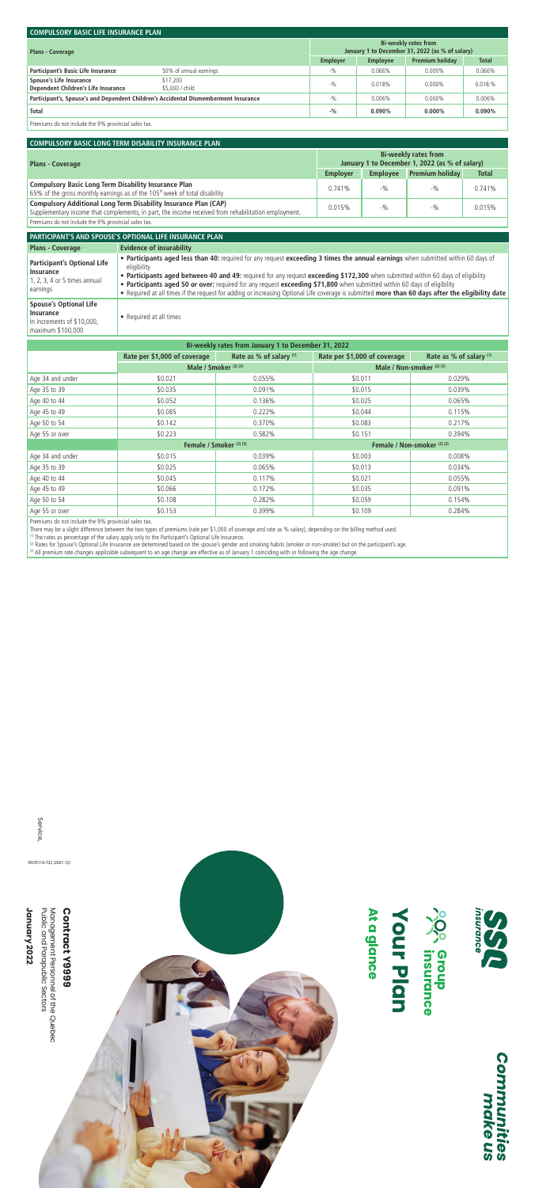| <b>COMPULSORY BASIC LIFE INSURANCE PLAN</b>                                         |                             |                 |                                                                                |              |           |  |  |
|-------------------------------------------------------------------------------------|-----------------------------|-----------------|--------------------------------------------------------------------------------|--------------|-----------|--|--|
| <b>Plans - Coverage</b>                                                             |                             |                 | <b>Bi-weekly rates from</b><br>January 1 to December 31, 2022 (as % of salary) |              |           |  |  |
|                                                                                     | <b>Employer</b>             | <b>Employee</b> | <b>Premium holiday</b>                                                         | <b>Total</b> |           |  |  |
| Participant's Basic Life Insurance                                                  | 50% of annual earnings      | $-9/0$          | 0.066%                                                                         | $0.000\%$    | 0.066%    |  |  |
| Spouse's Life Insurance<br>Dependent Children's Life Insurance                      | \$17,200<br>\$5,000 / child | $-9/0$          | 0.018%                                                                         | $0.000\%$    | 0.018.%   |  |  |
| Participant's, Spouse's and Dependent Children's Accidental Dismemberment Insurance |                             |                 | 0.006%                                                                         | $0.000\%$    | 0.006%    |  |  |
| Total                                                                               |                             | $-9/0$          | $0.090\%$                                                                      | $0.000\%$    | $0.090\%$ |  |  |
|                                                                                     |                             |                 |                                                                                |              |           |  |  |

Premiums do not include the 9% provincial sales tax.

#### **COMPULSORY BASIC LONG TERM DISABILITY INSURANCE PLAN**

| <b>Plans - Coverage</b>                                                                                                                                                |                 | <b>Bi-weekly rates from</b><br>January 1 to December 1, 2022 (as % of salary) |                        |              |  |  |  |
|------------------------------------------------------------------------------------------------------------------------------------------------------------------------|-----------------|-------------------------------------------------------------------------------|------------------------|--------------|--|--|--|
|                                                                                                                                                                        | <b>Employer</b> | <b>Employee</b>                                                               | <b>Premium holiday</b> | <b>Total</b> |  |  |  |
| <b>Compulsory Basic Long Term Disability Insurance Plan</b><br>65% of the gross monthly earnings as of the 105 <sup>th</sup> week of total disability                  | 0.741%          | $-9/0$                                                                        | $-9/0$                 | 0.741%       |  |  |  |
| Compulsory Additional Long Term Disability Insurance Plan (CAP)<br>Supplementary income that complements, in part, the income received from rehabilitation employment. | 0.015%          | $-9/0$                                                                        | $-9/0$                 | 0.015%       |  |  |  |
| Premiums do not include the 9% provincial sales tax.                                                                                                                   |                 |                                                                               |                        |              |  |  |  |

**PARTICIPANT'S AND SPOUSE'S OPTIONAL LIFE INSURANCE PLANPlans - Coverage Evidence of insurability Participant's Optional Life Insurance**1, 2, 3, 4 or 5 times annual earnings • **Participants aged less than 40:** required for any request **exceeding 3 times the annual earnings** when submitted within 60 days of eligibility • **Participants aged between 40 and 49:** required for any request **exceeding \$172,300** when submitted within 60 days of eligibility • **Participants aged 50 or over:** required for any request **exceeding \$71,800** when submitted within 60 days of eligibility • Required at all times if the request for adding or increasing Optional Life coverage is submitted **more than 60 days after the eligibility date Spouse's Optional Life Insurance**In increments of \$10,000, maximum \$100,000 • Required at all times

| Bi-weekly rates from January 1 to December 31, 2022 |                              |                         |                               |                         |  |  |  |
|-----------------------------------------------------|------------------------------|-------------------------|-------------------------------|-------------------------|--|--|--|
|                                                     | Rate per \$1,000 of coverage | Rate as % of salary (1) | Rate per \$1,000 of coverage  | Rate as % of salary (1) |  |  |  |
|                                                     | Male / Smoker $(2)$ $(3)$    |                         | Male / Non-smoker $(2)$ $(3)$ |                         |  |  |  |
| Age 34 and under                                    | \$0.021                      | 0.055%                  | \$0.011                       | 0.029%                  |  |  |  |
| Age 35 to 39                                        | \$0.035                      | 0.091%                  | \$0.015                       | 0.039%                  |  |  |  |
| Age 40 to 44                                        | \$0.052                      | 0.136%                  | \$0.025                       | 0.065%                  |  |  |  |
| Age 45 to 49                                        | \$0.085                      | 0.222%                  | \$0.044                       | 0.115%                  |  |  |  |
| Age 50 to 54                                        | \$0.142                      | 0.370%                  | \$0.083                       | 0.217%                  |  |  |  |
| Age 55 or over                                      | \$0.223                      | 0.582%                  | \$0.151                       | 0.394%                  |  |  |  |
|                                                     |                              | Female / Smoker (2) (3) | Female / Non-smoker (2) (3)   |                         |  |  |  |
| Age 34 and under                                    | \$0.015                      | 0.039%                  | \$0.003                       | 0.008%                  |  |  |  |
| Age 35 to 39                                        | \$0.025                      | 0.065%                  | \$0.013                       | 0.034%                  |  |  |  |
| Age 40 to 44                                        | \$0.045                      | 0.117%                  | \$0.021                       | 0.055%                  |  |  |  |
| Age 45 to 49                                        | \$0.066                      | 0.172%                  | \$0.035                       | 0.091%                  |  |  |  |
| Age 50 to 54                                        | \$0.108                      | 0.282%                  | \$0.059                       | 0.154%                  |  |  |  |
| Age 55 or over                                      | \$0.153                      | 0.399%                  | \$0.109                       | 0.284%                  |  |  |  |

Premiums do not include the 9% provincial sales tax.

There may be a slight difference between the two types of premiums (rate per \$1,000 of coverage and rate as % salary), depending on the billing method used.

(1) The rates as percentage of the salary apply only to the Participant's Optional Life Insurance.

(2) Rates for Spouse's Optional Life Insurance are determined based on the spouse's gender and smoking habits (smoker or non-smoker) but on the participant's age.

(3) All premium rate changes applicable subsequent to an age change are effective as of January 1 coinciding with or following the age change.